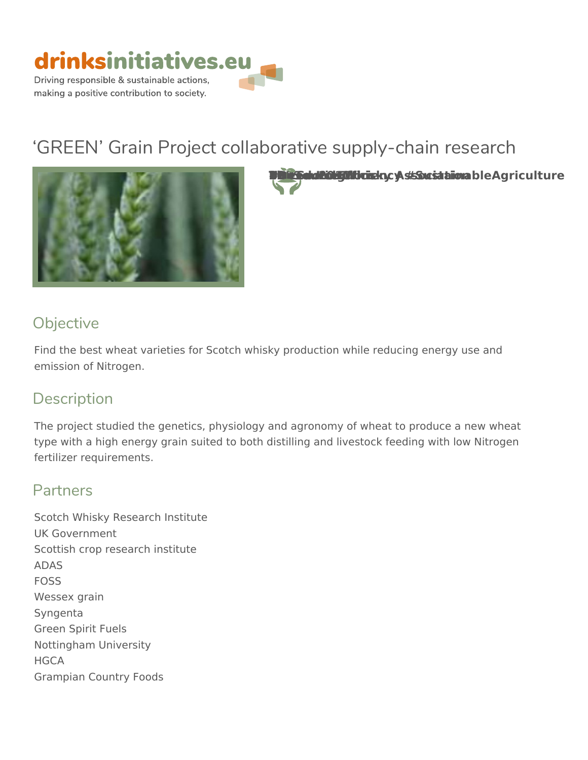

# GREEN Grain Project collaborative supp



The Gets Sockud Scotch His Od Yild I and a circle Kingdom 2006 A control of Agricultura & Charles Agriculture

## Objective

Find the best wheat varieties for Scotch whisky production while reducing emission of Nitrogen.

# Description

The project studied the genetics, physiology and agronomy of wheat to pro type with a high energy grain suited to both distilling and livestock feedin fertilizer requirements.

#### Partners

Scotch Whisky Research Institute UK Government Scottish crop research institute ADAS FOSS Wessex grain Syngenta Green Spirit Fuels Nottingham University HGCA Grampian Country Foods